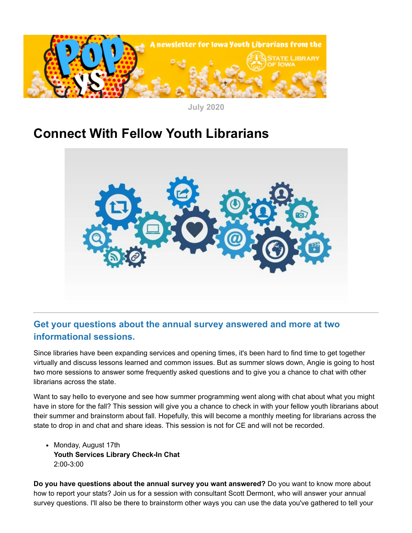

**July 2020**

# **Connect With Fellow Youth Librarians**



## **Get your questions about the annual survey answered and more at two informational sessions.**

Since libraries have been expanding services and opening times, it's been hard to find time to get together virtually and discuss lessons learned and common issues. But as summer slows down, Angie is going to host two more sessions to answer some frequently asked questions and to give you a chance to chat with other librarians across the state.

Want to say hello to everyone and see how summer programming went along with chat about what you might have in store for the fall? This session will give you a chance to check in with your fellow youth librarians about their summer and brainstorm about fall. Hopefully, this will become a monthly meeting for librarians across the state to drop in and chat and share ideas. This session is not for CE and will not be recorded.

• Monday, August 17th **Youth Services Library Check-In Chat** 2:00-3:00

**Do you have questions about the annual survey you want answered?** Do you want to know more about how to report your stats? Join us for a session with consultant Scott Dermont, who will answer your annual survey questions. I'll also be there to brainstorm other ways you can use the data you've gathered to tell your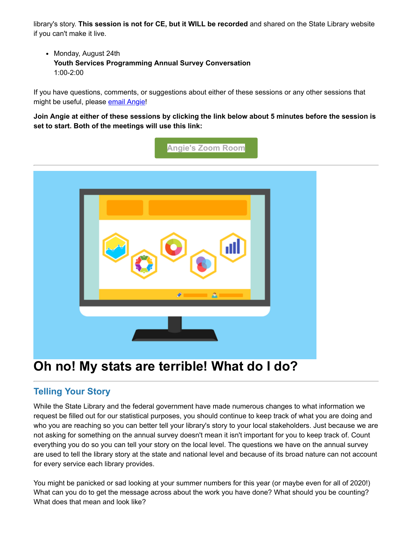library's story. **This session is not for CE, but it WILL be recorded** and shared on the State Library website if you can't make it live.

• Monday, August 24th **Youth Services Programming Annual Survey Conversation** 1:00-2:00

If you have questions, comments, or suggestions about either of these sessions or any other sessions that might be useful, please [email Angie!](mailto:angie.manfredi@iowa.gov)

**Join Angie at either of these sessions by clicking the link below about 5 minutes before the session is set to start. Both of the meetings will use this link:**



## **Oh no! My stats are terrible! What do I do?**

## **Telling Your Story**

While the State Library and the federal government have made numerous changes to what information we request be filled out for our statistical purposes, you should continue to keep track of what you are doing and who you are reaching so you can better tell your library's story to your local stakeholders. Just because we are not asking for something on the annual survey doesn't mean it isn't important for you to keep track of. Count everything you do so you can tell your story on the local level. The questions we have on the annual survey are used to tell the library story at the state and national level and because of its broad nature can not account for every service each library provides.

You might be panicked or sad looking at your summer numbers for this year (or maybe even for all of 2020!) What can you do to get the message across about the work you have done? What should you be counting? What does that mean and look like?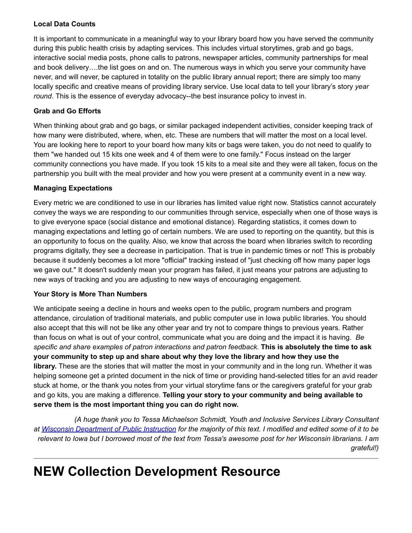### **Local Data Counts**

It is important to communicate in a meaningful way to your library board how you have served the community during this public health crisis by adapting services. This includes virtual storytimes, grab and go bags, interactive social media posts, phone calls to patrons, newspaper articles, community partnerships for meal and book delivery….the list goes on and on. The numerous ways in which you serve your community have never, and will never, be captured in totality on the public library annual report; there are simply too many locally specific and creative means of providing library service. Use local data to tell your library's story *year round*. This is the essence of everyday advocacy--the best insurance policy to invest in.

### **Grab and Go Efforts**

When thinking about grab and go bags, or similar packaged independent activities, consider keeping track of how many were distributed, where, when, etc. These are numbers that will matter the most on a local level. You are looking here to report to your board how many kits or bags were taken, you do not need to qualify to them "we handed out 15 kits one week and 4 of them were to one family." Focus instead on the larger community connections you have made. If you took 15 kits to a meal site and they were all taken, focus on the partnership you built with the meal provider and how you were present at a community event in a new way.

### **Managing Expectations**

Every metric we are conditioned to use in our libraries has limited value right now. Statistics cannot accurately convey the ways we are responding to our communities through service, especially when one of those ways is to give everyone space (social distance and emotional distance). Regarding statistics, it comes down to managing expectations and letting go of certain numbers. We are used to reporting on the quantity, but this is an opportunity to focus on the quality. Also, we know that across the board when libraries switch to recording programs digitally, they see a decrease in participation. That is true in pandemic times or not! This is probably because it suddenly becomes a lot more "official" tracking instead of "just checking off how many paper logs we gave out." It doesn't suddenly mean your program has failed, it just means your patrons are adjusting to new ways of tracking and you are adjusting to new ways of encouraging engagement.

### **Your Story is More Than Numbers**

We anticipate seeing a decline in hours and weeks open to the public, program numbers and program attendance, circulation of traditional materials, and public computer use in Iowa public libraries. You should also accept that this will not be like any other year and try not to compare things to previous years. Rather than focus on what is out of your control, communicate what you are doing and the impact it is having. *Be specific and share examples of patron interactions and patron feedback*. **This is absolutely the time to ask your community to step up and share about why they love the library and how they use the library.** These are the stories that will matter the most in your community and in the long run. Whether it was helping someone get a printed document in the nick of time or providing hand-selected titles for an avid reader stuck at home, or the thank you notes from your virtual storytime fans or the caregivers grateful for your grab and go kits, you are making a difference. **Telling your story to your community and being available to serve them is the most important thing you can do right now.**

*(A huge thank you to Tessa Michaelson Schmidt, Youth and Inclusive Services Library Consultant at [Wisconsin Department of Public Instruction](https://dpi.wi.gov/?utm_medium=email&utm_source=govdelivery) for the majority of this text. I modified and edited some of it to be relevant to Iowa but I borrowed most of the text from Tessa's awesome post for her Wisconsin librarians. I am grateful!)*

# **NEW Collection Development Resource**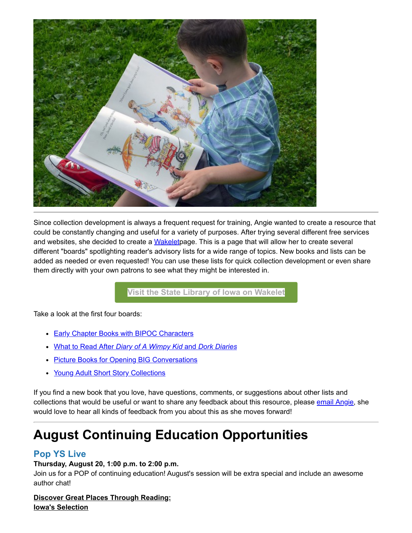

Since collection development is always a frequent request for training, Angie wanted to create a resource that could be constantly changing and useful for a variety of purposes. After trying several different free services and websites, she decided to create a [Wakeletp](https://wakelet.com/?utm_medium=email&utm_source=govdelivery)age. This is a page that will allow her to create several different "boards" spotlighting reader's advisory lists for a wide range of topics. New books and lists can be added as needed or even requested! You can use these lists for quick collection development or even share them directly with your own patrons to see what they might be interested in.

**[Visit the State Library of Iowa on Wakelet](https://wakelet.com/@StateLibraryofIowa?utm_medium=email&utm_source=govdelivery)**

Take a look at the first four boards:

- **[Early Chapter Books with BIPOC Characters](https://wke.lt/w/s/OI5Xi6?utm_medium=email&utm_source=govdelivery)**
- What to Read After *[Diary of A Wimpy Kid](https://wke.lt/w/s/niOvEk?utm_medium=email&utm_source=govdelivery)* [and](https://wke.lt/w/s/niOvEk?utm_medium=email&utm_source=govdelivery) *[Dork Diaries](https://wke.lt/w/s/niOvEk?utm_medium=email&utm_source=govdelivery)*
- [Picture Books for Opening BIG Conversations](https://wke.lt/w/s/B5LyrJ?utm_medium=email&utm_source=govdelivery)
- [Young Adult Short Story Collections](https://wke.lt/w/s/Ua-TPG?utm_medium=email&utm_source=govdelivery)

If you find a new book that you love, have questions, comments, or suggestions about other lists and collections that would be useful or want to share any feedback about this resource, please [email Angie,](mailto:angie.manfredi@iowa.gov) she would love to hear all kinds of feedback from you about this as she moves forward!

# **August Continuing Education Opportunities**

## **Pop YS Live**

### **Thursday, August 20, 1:00 p.m. to 2:00 p.m.**

Join us for a POP of continuing education! August's session will be extra special and include an awesome author chat!

**Discover Great Places Through Reading: Iowa's Selection**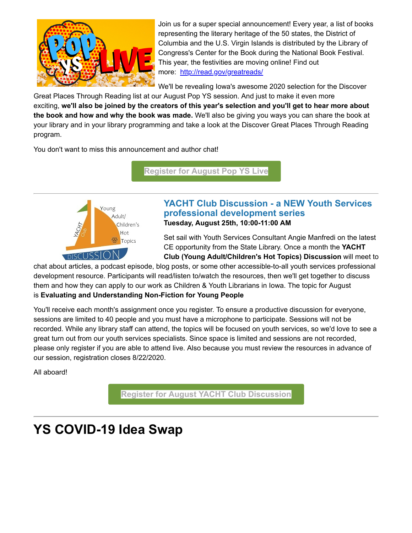

Join us for a super special announcement! Every year, a list of books representing the literary heritage of the 50 states, the District of Columbia and the U.S. Virgin Islands is distributed by the Library of Congress's Center for the Book during the National Book Festival. This year, the festivities are moving online! Find out more: [http://read.gov/greatreads/](http://read.gov/greatreads/?utm_medium=email&utm_source=govdelivery)

We'll be revealing Iowa's awesome 2020 selection for the Discover

Great Places Through Reading list at our August Pop YS session. And just to make it even more exciting, **we'll also be joined by the creators of this year's selection and you'll get to hear more about the book and how and why the book was made.** We'll also be giving you ways you can share the book at your library and in your library programming and take a look at the Discover Great Places Through Reading program.

You don't want to miss this announcement and author chat!

**[Register for August Pop YS Live](https://statelibraryofiowa.lmscheckout.com/Course/view/pysl08-1?utm_medium=email&utm_source=govdelivery)**



### **YACHT Club Discussion - a NEW Youth Services professional development series Tuesday, August 25th, 10:00-11:00 AM**

Set sail with Youth Services Consultant Angie Manfredi on the latest CE opportunity from the State Library. Once a month the **YACHT Club (Young Adult/Children's Hot Topics) Discussion** will meet to

chat about articles, a podcast episode, blog posts, or some other accessible-to-all youth services professional development resource. Participants will read/listen to/watch the resources, then we'll get together to discuss them and how they can apply to our work as Children & Youth Librarians in Iowa. The topic for August is **Evaluating and Understanding Non-Fiction for Young People**

You'll receive each month's assignment once you register. To ensure a productive discussion for everyone, sessions are limited to 40 people and you must have a microphone to participate. Sessions will not be recorded. While any library staff can attend, the topics will be focused on youth services, so we'd love to see a great turn out from our youth services specialists. Since space is limited and sessions are not recorded, please only register if you are able to attend live. Also because you must review the resources in advance of our session, registration closes 8/22/2020.

All aboard!

**[Register for August YACHT Club Discussion](https://statelibraryofiowa.lmscheckout.com/Course/view/yacht08-1?utm_medium=email&utm_source=govdelivery)**

# **YS COVID-19 Idea Swap**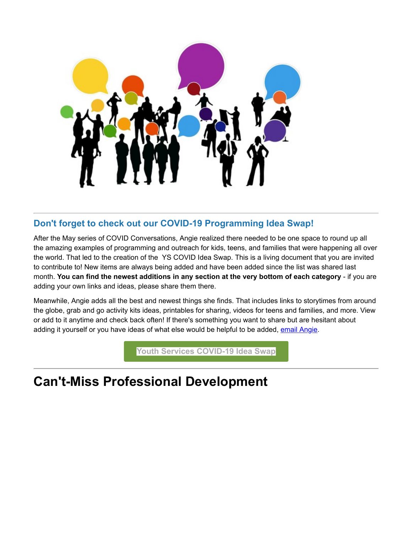

## **Don't forget to check out our COVID-19 Programming Idea Swap!**

After the May series of COVID Conversations, Angie realized there needed to be one space to round up all the amazing examples of programming and outreach for kids, teens, and families that were happening all over the world. That led to the creation of the YS COVID Idea Swap. This is a living document that you are invited to contribute to! New items are always being added and have been added since the list was shared last month. **You can find the newest additions in any section at the very bottom of each category** - if you are adding your own links and ideas, please share them there.

Meanwhile, Angie adds all the best and newest things she finds. That includes links to storytimes from around the globe, grab and go activity kits ideas, printables for sharing, videos for teens and families, and more. View or add to it anytime and check back often! If there's something you want to share but are hesitant about adding it yourself or you have ideas of what else would be helpful to be added, [email Angie](mailto:angie.manfredi@iowa.gov).

**[Youth Services COVID-19 Idea Swap](https://docs.google.com/document/d/17kL8Ur1n1N2rEN0QEaPwmXtQe0vDKt2ZOaLIYlLct-Y/edit?utm_medium=email&utm_source=govdelivery)**

# **Can't-Miss Professional Development**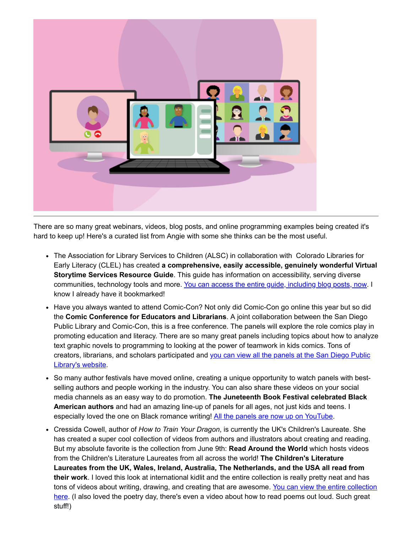

There are so many great webinars, videos, blog posts, and online programming examples being created it's hard to keep up! Here's a curated list from Angie with some she thinks can be the most useful.

- The Association for Library Services to Children (ALSC) in collaboration with Colorado Libraries for Early Literacy (CLEL) has created **a comprehensive, easily accessible, genuinely wonderful Virtual Storytime Services Resource Guide**. This guide has information on accessibility, serving diverse communities, technology tools and more. [You can access the entire guide, including blog posts, now](http://www.ala.org/alsc/virtual-storytime-services-resource-guide?utm_medium=email&utm_source=govdelivery). I know I already have it bookmarked!
- Have you always wanted to attend Comic-Con? Not only did Comic-Con go online this year but so did the **Comic Conference for Educators and Librarians**. A joint collaboration between the San Diego Public Library and Comic-Con, this is a free conference. The panels will explore the role comics play in promoting education and literacy. There are so many great panels including topics about how to analyze text graphic novels to programming to looking at the power of teamwork in kids comics. Tons of creators, librarians, and scholars participated and [you can view all the panels at the San Diego Public](https://www.sandiego.gov/CCEL?fbclid=IwAR1GoIBz474Y2vEqYH1kX0GLA0cRskT-odWkDtvcpE0eRYycfLKDBh8z-6k&utm_medium=email&utm_source=govdelivery) Library's website.
- So many author festivals have moved online, creating a unique opportunity to watch panels with bestselling authors and people working in the industry. You can also share these videos on your social media channels as an easy way to do promotion. **The Juneteenth Book Festival celebrated Black American authors** and had an amazing line-up of panels for all ages, not just kids and teens. I especially loved the one on Black romance writing! [All the panels are now up on YouTube.](https://www.youtube.com/channel/UCu--Ur5D1oWHD3JOM9rODxw/featured?utm_medium=email&utm_source=govdelivery)
- Cressida Cowell, author of *How to Train Your Dragon*, is currently the UK's Children's Laureate. She has created a super cool collection of videos from authors and illustrators about creating and reading. But my absolute favorite is the collection from June 9th: **Read Around the World** which hosts videos from the Children's Literature Laureates from all across the world! **The Children's Literature Laureates from the UK, Wales, Ireland, Australia, The Netherlands, and the USA all read from their work**. I loved this look at international kidlit and the entire collection is really pretty neat and has tons of videos about writing, drawing, and creating that are awesome. You can view the entire collection [here. \(I also loved the poetry day, there's even a video about how to read poems out loud. Such great](https://www.booktrust.org.uk/what-we-do/childrens-laureate/?utm_medium=email&utm_source=govdelivery) stuff!)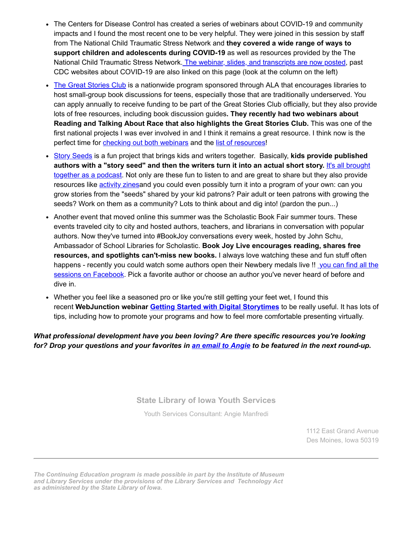- The Centers for Disease Control has created a series of webinars about COVID-19 and community impacts and I found the most recent one to be very helpful. They were joined in this session by staff from The National Child Traumatic Stress Network and **they covered a wide range of ways to support children and adolescents during COVID-19** as well as resources provided by the The National Child Traumatic Stress Network. [The webinar, slides, and transcripts are now posted,](https://emergency.cdc.gov/epic/learn/2020/webinar_20200722.asp?deliveryName=USCDC_964DM33386&utm_medium=email&utm_source=govdelivery) past CDC websites about COVID-19 are also linked on this page (look at the column on the left)
- [The Great Stories Club](http://www.ala.org/tools/programming/greatstories?utm_medium=email&utm_source=govdelivery) is a nationwide program sponsored through ALA that encourages libraries to host small-group book discussions for teens, especially those that are traditionally underserved. You can apply annually to receive funding to be part of the Great Stories Club officially, but they also provide lots of free resources, including book discussion guides**. They recently had two webinars about Reading and Talking About Race that also highlights the Great Stories Club.** This was one of the first national projects I was ever involved in and I think it remains a great resource. I think now is the perfect time for [checking out both webinars](https://programminglibrarian.org/learn/reading-and-talking-about-race-intro-ala%E2%80%99s-great-stories-club-part-1-deeper-our-skins?utm_medium=email&utm_source=govdelivery) and the [list of resources](http://www.ala.org/tools/programming/greatstories/resources/skins?utm_medium=email&utm_source=govdelivery)!
- [Story Seeds](https://www.storyseedspodcast.com/?utm_medium=email&utm_source=govdelivery) is a fun project that brings kids and writers together. Basically, kids provide published **authors with a "story seed" and then the writers turn it into an actual short story.** It's all brought [together as a podcast. Not only are these fun to listen to and are great to share but they also provide](https://www.storyseedspodcast.com/?utm_medium=email&utm_source=govdelivery) resources like [activity zinesa](https://www.storyseedspodcast.com/imaginationlab?utm_medium=email&utm_source=govdelivery)nd you could even possibly turn it into a program of your own: can you grow stories from the "seeds" shared by your kid patrons? Pair adult or teen patrons with growing the seeds? Work on them as a community? Lots to think about and dig into! (pardon the pun...)
- Another event that moved online this summer was the Scholastic Book Fair summer tours. These events traveled city to city and hosted authors, teachers, and librarians in conversation with popular authors. Now they've turned into #BookJoy conversations every week, hosted by John Schu, Ambassador of School Libraries for Scholastic. **Book Joy Live encourages reading, shares free resources, and spotlights can't-miss new books.** I always love watching these and fun stuff often [happens - recently you could watch some authors open their Newbery medals live !! you can find all the](https://www.facebook.com/watch/ScholasticBookFairs/638441630085548/?utm_medium=email&utm_source=govdelivery) sessions on Facebook. Pick a favorite author or choose an author you've never heard of before and dive in.
- Whether you feel like a seasoned pro or like you're still getting your feet wet, I found this recent **WebJunction webinar [Getting Started with Digital Storytimes](https://www.webjunction.org/events/webjunction/getting-started-with-virtual-storytimes.html?utm_medium=email&utm_source=govdelivery)** to be really useful. It has lots of tips, including how to promote your programs and how to feel more comfortable presenting virtually.

### *What professional development have you been loving? Are there specific resources you're looking for? Drop your questions and your favorites in [an email to Angie](mailto:angie.manfredi@iowa.gov) to be featured in the next round-up.*

**[State Library of Iowa Youth Services](https://www.statelibraryofiowa.org/ld/t-z/youthservices?utm_medium=email&utm_source=govdelivery)**

Youth Services Consultant: [Angie Manfredi](mailto:angie.manfredi@iowa.gov)

1112 East Grand Avenue Des Moines, Iowa 50319

*The Continuing Education program is made possible in part by the Institute of Museum and Library Services under the provisions of the Library Services and Technology Act as administered by the State Library of Iowa.*